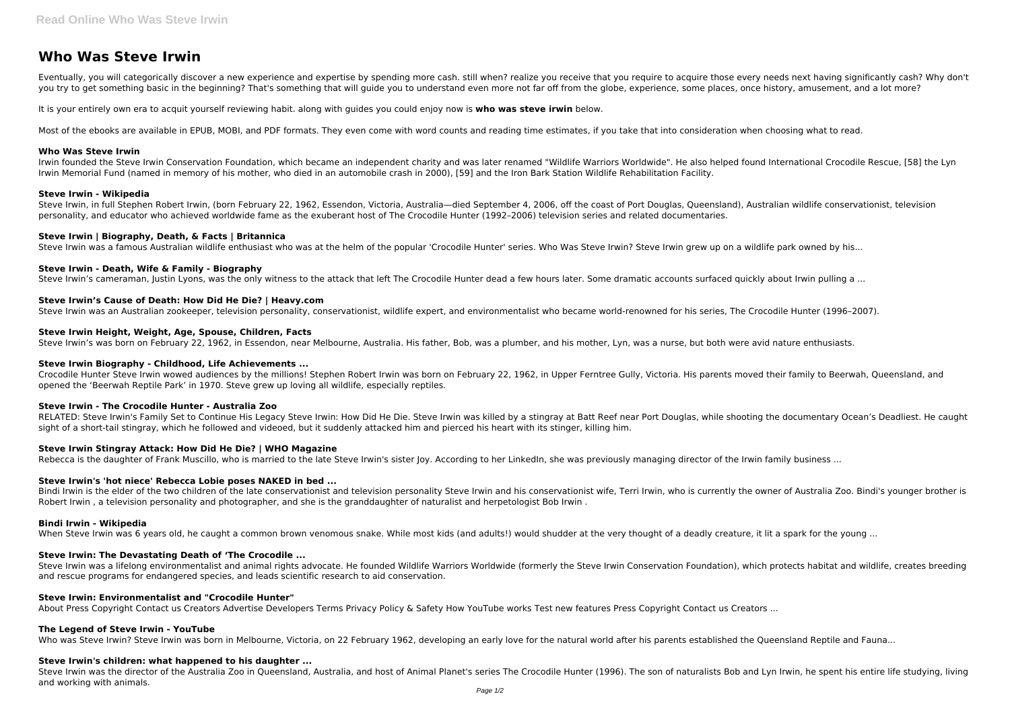Eventually, you will categorically discover a new experience and expertise by spending more cash. still when? realize you receive that you require to acquire those every needs next having significantly cash? Why don't you try to get something basic in the beginning? That's something that will guide you to understand even more not far off from the globe, experience, some places, once history, amusement, and a lot more?

# **Who Was Steve Irwin**

It is your entirely own era to acquit yourself reviewing habit. along with guides you could enjoy now is **who was steve irwin** below.

Most of the ebooks are available in EPUB, MOBI, and PDF formats. They even come with word counts and reading time estimates, if you take that into consideration when choosing what to read.

#### **Who Was Steve Irwin**

Irwin founded the Steve Irwin Conservation Foundation, which became an independent charity and was later renamed "Wildlife Warriors Worldwide". He also helped found International Crocodile Rescue, [58] the Lyn Irwin Memorial Fund (named in memory of his mother, who died in an automobile crash in 2000), [59] and the Iron Bark Station Wildlife Rehabilitation Facility.

#### **Steve Irwin - Wikipedia**

Steve Irwin, in full Stephen Robert Irwin, (born February 22, 1962, Essendon, Victoria, Australia—died September 4, 2006, off the coast of Port Douglas, Queensland), Australian wildlife conservationist, television personality, and educator who achieved worldwide fame as the exuberant host of The Crocodile Hunter (1992–2006) television series and related documentaries.

#### **Steve Irwin | Biography, Death, & Facts | Britannica**

Steve Irwin was a famous Australian wildlife enthusiast who was at the helm of the popular 'Crocodile Hunter' series. Who Was Steve Irwin? Steve Irwin grew up on a wildlife park owned by his...

RELATED: Steve Irwin's Family Set to Continue His Legacy Steve Irwin: How Did He Die. Steve Irwin was killed by a stingray at Batt Reef near Port Douglas, while shooting the documentary Ocean's Deadliest. He caught sight of a short-tail stingray, which he followed and videoed, but it suddenly attacked him and pierced his heart with its stinger, killing him.

#### **Steve Irwin - Death, Wife & Family - Biography**

Steve Irwin's cameraman, lustin Lyons, was the only witness to the attack that left The Crocodile Hunter dead a few hours later. Some dramatic accounts surfaced quickly about Irwin pulling a ...

Bindi Irwin is the elder of the two children of the late conservationist and television personality Steve Irwin and his conservationist wife, Terri Irwin, who is currently the owner of Australia Zoo. Bindi's younger brothe Robert Irwin , a television personality and photographer, and she is the granddaughter of naturalist and herpetologist Bob Irwin .

## **Steve Irwin's Cause of Death: How Did He Die? | Heavy.com**

Steve Irwin was an Australian zookeeper, television personality, conservationist, wildlife expert, and environmentalist who became world-renowned for his series, The Crocodile Hunter (1996–2007).

Steve Irwin was a lifelong environmentalist and animal rights advocate. He founded Wildlife Warriors Worldwide (formerly the Steve Irwin Conservation Foundation), which protects habitat and wildlife, creates breeding and rescue programs for endangered species, and leads scientific research to aid conservation.

## **Steve Irwin Height, Weight, Age, Spouse, Children, Facts**

Steve Irwin's was born on February 22, 1962, in Essendon, near Melbourne, Australia. His father, Bob, was a plumber, and his mother, Lyn, was a nurse, but both were avid nature enthusiasts.

## **Steve Irwin Biography - Childhood, Life Achievements ...**

Crocodile Hunter Steve Irwin wowed audiences by the millions! Stephen Robert Irwin was born on February 22, 1962, in Upper Ferntree Gully, Victoria. His parents moved their family to Beerwah, Queensland, and opened the 'Beerwah Reptile Park' in 1970. Steve grew up loving all wildlife, especially reptiles.

## **Steve Irwin - The Crocodile Hunter - Australia Zoo**

## **Steve Irwin Stingray Attack: How Did He Die? | WHO Magazine**

Rebecca is the daughter of Frank Muscillo, who is married to the late Steve Irwin's sister Joy. According to her LinkedIn, she was previously managing director of the Irwin family business ...

## **Steve Irwin's 'hot niece' Rebecca Lobie poses NAKED in bed ...**

## **Bindi Irwin - Wikipedia**

When Steve Irwin was 6 years old, he caught a common brown venomous snake. While most kids (and adults!) would shudder at the very thought of a deadly creature, it lit a spark for the young ...

## **Steve Irwin: The Devastating Death of 'The Crocodile ...**

## **Steve Irwin: Environmentalist and "Crocodile Hunter"**

About Press Copyright Contact us Creators Advertise Developers Terms Privacy Policy & Safety How YouTube works Test new features Press Copyright Contact us Creators ...

## **The Legend of Steve Irwin - YouTube**

Who was Steve Irwin? Steve Irwin was born in Melbourne, Victoria, on 22 February 1962, developing an early love for the natural world after his parents established the Oueensland Reptile and Fauna...

## **Steve Irwin's children: what happened to his daughter ...**

Steve Irwin was the director of the Australia Zoo in Queensland, Australia, and host of Animal Planet's series The Crocodile Hunter (1996). The son of naturalists Bob and Lyn Irwin, he spent his entire life studying, living and working with animals.